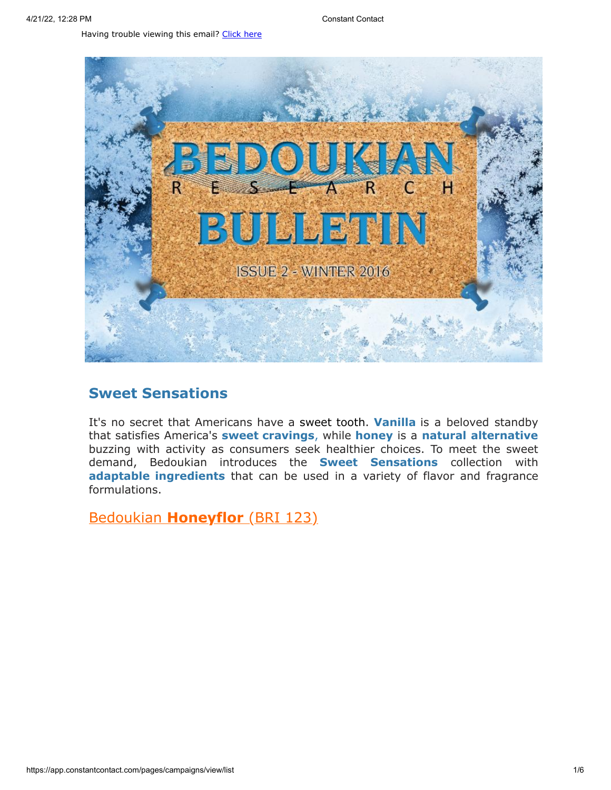Having trouble viewing this email? [Click](http://campaign.r20.constantcontact.com/render?preview=true&m=1119604276206&ca=7b5eec45-da6b-4206-96de-02defc54713a&id=preview) here



# **Sweet Sensations**

It's no secret that Americans have a sweet tooth. **Vanilla** is a beloved standby that satisfies America's **sweet cravings**, while **honey** is a **natural alternative** buzzing with activity as consumers seek healthier choices. To meet the sweet demand, Bedoukian introduces the **Sweet Sensations** collection with **adaptable ingredients** that can be used in a variety of flavor and fragrance formulations.

Bedoukian **[Honeyflor](http://search.bedoukian.com/flavorfragrance/ff_product.asp?method=POP&id=123)** (BRI 123)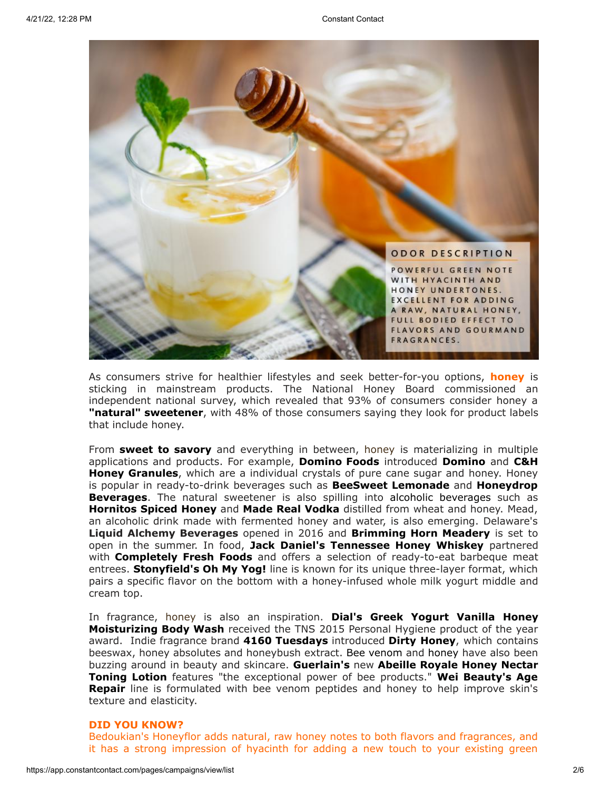

As consumers strive for healthier lifestyles and seek better-for-you options, **honey** is sticking in mainstream products. The National Honey Board commissioned an independent national survey, which revealed that 93% of consumers consider honey a **"natural" sweetener**, with 48% of those consumers saying they look for product labels that include honey.

From **sweet to savory** and everything in between, honey is materializing in multiple applications and products. For example, **Domino Foods** introduced **Domino** and **C&H Honey Granules**, which are a individual crystals of pure cane sugar and honey. Honey is popular in ready-to-drink beverages such as **BeeSweet Lemonade** and **Honeydrop Beverages**. The natural sweetener is also spilling into alcoholic beverages such as **Hornitos Spiced Honey** and **Made Real Vodka** distilled from wheat and honey. Mead, an alcoholic drink made with fermented honey and water, is also emerging. Delaware's **Liquid Alchemy Beverages** opened in 2016 and **Brimming Horn Meadery** is set to open in the summer. In food, **Jack Daniel's Tennessee Honey Whiskey** partnered with **Completely Fresh Foods** and offers a selection of ready-to-eat barbeque meat entrees. **Stonyfield's Oh My Yog!** line is known for its unique three-layer format, which pairs a specific flavor on the bottom with a honey-infused whole milk yogurt middle and cream top.

In fragrance, honey is also an inspiration. **Dial's Greek Yogurt Vanilla Honey Moisturizing Body Wash** received the TNS 2015 Personal Hygiene product of the year award. Indie fragrance brand **4160 Tuesdays** introduced **Dirty Honey**, which contains beeswax, honey absolutes and honeybush extract. Bee venom and honey have also been buzzing around in beauty and skincare. **Guerlain's** new **Abeille Royale Honey Nectar Toning Lotion** features "the exceptional power of bee products." **Wei Beauty's Age Repair** line is formulated with bee venom peptides and honey to help improve skin's texture and elasticity.

#### **DID YOU KNOW?**

Bedoukian's Honeyflor adds natural, raw honey notes to both flavors and fragrances, and it has a strong impression of hyacinth for adding a new touch to your existing green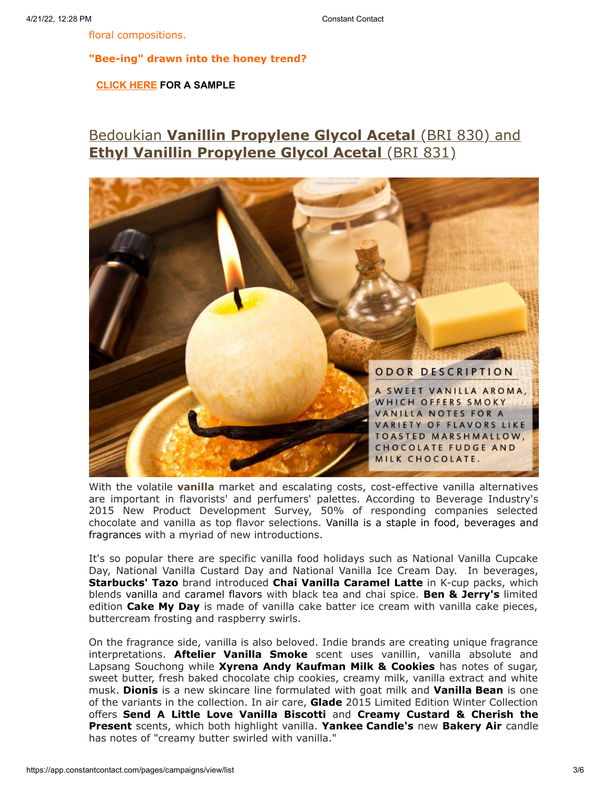floral compositions.

**"Bee-ing" drawn into the honey trend?**

**[CLICK](mailto:customerservice@bedoukian.com?subject=Bedoukian%20Bulletin%20-%20Winter%202016&body=Hello%2C%0A%0AI%20would%20like%20to%20request%20free%20samples%20of%20each%20product%20advertised%20in%20the%20Winter%202016%20Bedoukian%20Bulletin!) HERE FOR A SAMPLE**

# Bedoukian **[Vanillin Propylene Glycol Acetal](http://search.bedoukian.com/flavorfragrance/ff_product.asp?method=POP&id=830)** (BRI 830) and **[Ethyl Vanillin Propylene](http://search.bedoukian.com/flavorfragrance/ff_product.asp?method=POP&id=831) Glycol Acetal** (BRI 831)



With the volatile **vanilla** market and escalating costs, cost-effective vanilla alternatives are important in flavorists' and perfumers' palettes. According to Beverage Industry's 2015 New Product Development Survey, 50% of responding companies selected chocolate and vanilla as top flavor selections. Vanilla is a staple in food, beverages and fragrances with a myriad of new introductions.

It's so popular there are specific vanilla food holidays such as National Vanilla Cupcake Day, National Vanilla Custard Day and National Vanilla Ice Cream Day. In beverages, **Starbucks' Tazo** brand introduced **Chai Vanilla Caramel Latte** in K-cup packs, which blends vanilla and caramel flavors with black tea and chai spice. **Ben & Jerry's** limited edition **Cake My Day** is made of vanilla cake batter ice cream with vanilla cake pieces, buttercream frosting and raspberry swirls.

On the fragrance side, vanilla is also beloved. Indie brands are creating unique fragrance interpretations. **Aftelier Vanilla Smoke** scent uses vanillin, vanilla absolute and Lapsang Souchong while **Xyrena Andy Kaufman Milk & Cookies** has notes of sugar, sweet butter, fresh baked chocolate chip cookies, creamy milk, vanilla extract and white musk. **Dionis** is a new skincare line formulated with goat milk and **Vanilla Bean** is one of the variants in the collection. In air care, **Glade** 2015 Limited Edition Winter Collection offers **Send A Little Love Vanilla Biscotti** and **Creamy Custard & Cherish the Present** scents, which both highlight vanilla. **Yankee Candle's** new **Bakery Air** candle has notes of "creamy butter swirled with vanilla."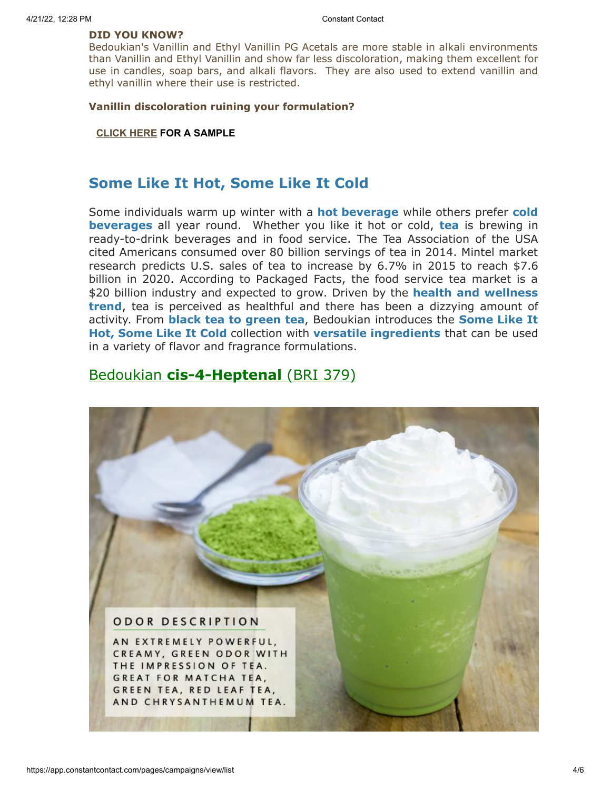### **DID YOU KNOW?**

Bedoukian's Vanillin and Ethyl Vanillin PG Acetals are more stable in alkali environments than Vanillin and Ethyl Vanillin and show far less discoloration, making them excellent for use in candles, soap bars, and alkali flavors. They are also used to extend vanillin and ethyl vanillin where their use is restricted.

### **Vanillin discoloration ruining your formulation?**

### **[CLICK](mailto:customerservice@bedoukian.com?subject=Bedoukian%20Bulletin%20-%20Winter%202016&body=Hello%2C%0A%0AI%20would%20like%20to%20request%20free%20samples%20of%20each%20product%20advertised%20in%20the%20Winter%202016%20Bedoukian%20Bulletin!) HERE FOR A SAMPLE**

# **Some Like It Hot, Some Like It Cold**

Some individuals warm up winter with a **hot beverage** while others prefer **cold beverages** all year round. Whether you like it hot or cold, **tea** is brewing in ready-to-drink beverages and in food service. The Tea Association of the USA cited Americans consumed over 80 billion servings of tea in 2014. Mintel market research predicts U.S. sales of tea to increase by 6.7% in 2015 to reach \$7.6 billion in 2020. According to Packaged Facts, the food service tea market is a \$20 billion industry and expected to grow. Driven by the **health and wellness trend**, tea is perceived as healthful and there has been a dizzying amount of activity. From **black tea to green tea**, Bedoukian introduces the **Some Like It Hot, Some Like It Cold** collection with **versatile ingredients** that can be used in a variety of flavor and fragrance formulations.

## Bedoukian **[cis-4-Heptenal](http://search.bedoukian.com/flavorfragrance/ff_product.asp?method=POP&id=379)** (BRI 379)

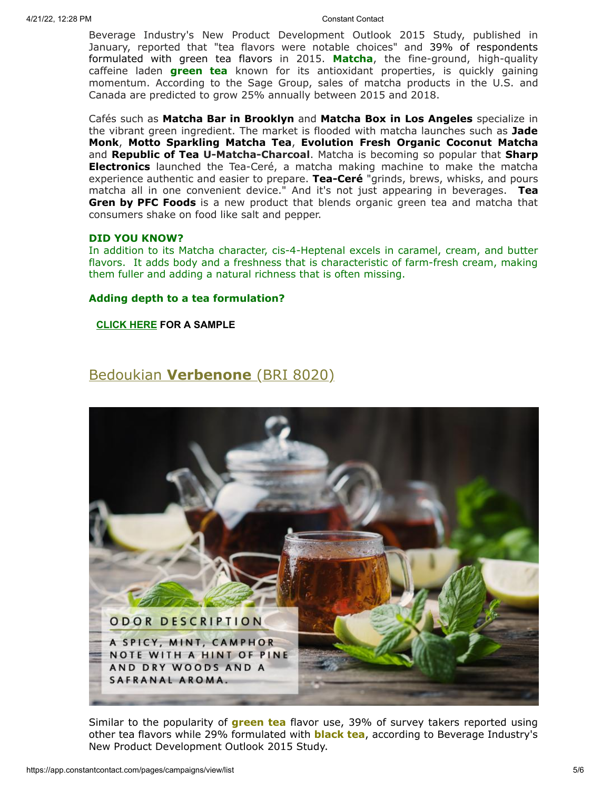Beverage Industry's New Product Development Outlook 2015 Study, published in January, reported that "tea flavors were notable choices" and 39% of respondents formulated with green tea flavors in 2015. **Matcha**, the fine-ground, high-quality caffeine laden **green tea** known for its antioxidant properties, is quickly gaining momentum. According to the Sage Group, sales of matcha products in the U.S. and Canada are predicted to grow 25% annually between 2015 and 2018.

Cafés such as **Matcha Bar in Brooklyn** and **Matcha Box in Los Angeles** specialize in the vibrant green ingredient. The market is flooded with matcha launches such as **Jade Monk**, **Motto Sparkling Matcha Tea**, **Evolution Fresh Organic Coconut Matcha** and **Republic of Tea U-Matcha-Charcoal**. Matcha is becoming so popular that **Sharp Electronics** launched the Tea-Ceré, a matcha making machine to make the matcha experience authentic and easier to prepare. **Tea-Ceré** "grinds, brews, whisks, and pours matcha all in one convenient device." And it's not just appearing in beverages. **Tea Gren by PFC Foods** is a new product that blends organic green tea and matcha that consumers shake on food like salt and pepper.

## **DID YOU KNOW?**

In addition to its Matcha character, cis-4-Heptenal excels in caramel, cream, and butter flavors. It adds body and a freshness that is characteristic of farm-fresh cream, making them fuller and adding a natural richness that is often missing.

### **Adding depth to a tea formulation?**

**[CLICK](mailto:customerservice@bedoukian.com?subject=Bedoukian%20Bulletin%20-%20Winter%202016&body=Hello%2C%0A%0AI%20would%20like%20to%20request%20free%20samples%20of%20each%20product%20advertised%20in%20the%20Winter%202016%20Bedoukian%20Bulletin!) HERE FOR A SAMPLE**

## [Bedoukian](http://bedoukian.com/products/product.asp?id=410) **[Verbenone](http://search.bedoukian.com/flavorfragrance/ff_product.asp?method=POP&id=8020)** (BRI 8020)



Similar to the popularity of **green tea** flavor use, 39% of survey takers reported using other tea flavors while 29% formulated with **black tea**, according to Beverage Industry's New Product Development Outlook 2015 Study.